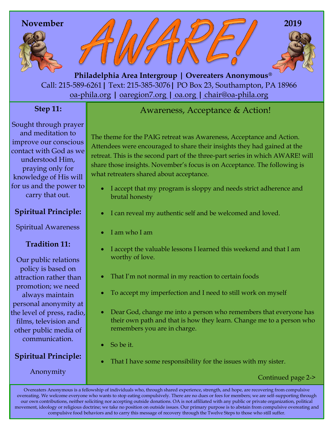

Call: 215-589-6261**|** Text: 215-385-3076**|** PO Box 23, Southampton, PA 18966 oa-phila.org **|** [oaregion7.org](file:///C:/Users/Owner/Documents/oaregion7.org) **|** oa.org **|** chair@oa-phila.org  **Philadelphia Area Intergroup | Overeaters Anonymous®**

## **Step 11:**

Sought through prayer and meditation to improve our conscious contact with God as we understood Him, praying only for knowledge of His will for us and the power to carry that out.

### **Spiritual Principle:**

Spiritual Awareness

#### **Tradition 11:**

Our public relations policy is based on attraction rather than promotion; we need always maintain personal anonymity at the level of press, radio, films, television and other public media of communication.

# **Spiritual Principle:**

Anonymity

# Awareness, Acceptance & Action!

The theme for the PAIG retreat was Awareness, Acceptance and Action. Attendees were encouraged to share their insights they had gained at the retreat. This is the second part of the three-part series in which AWARE! will share those insights. November's focus is on Acceptance. The following is what retreaters shared about acceptance.

- I accept that my program is sloppy and needs strict adherence and brutal honesty
- I can reveal my authentic self and be welcomed and loved.
- I am who I am
- I accept the valuable lessons I learned this weekend and that I am worthy of love.
- That I'm not normal in my reaction to certain foods
- To accept my imperfection and I need to still work on myself
- Dear God, change me into a person who remembers that everyone has their own path and that is how they learn. Change me to a person who remembers you are in charge.
- So be it.
- That I have some responsibility for the issues with my sister.

#### Continued page 2->

Overeaters Anonymous is a fellowship of individuals who, through shared experience, strength, and hope, are recovering from compulsive overeating. We welcome everyone who wants to stop eating compulsively. There are no dues or fees for members; we are self-supporting through our own contributions, neither soliciting nor accepting outside donations. OA is not affiliated with any public or private organization, political movement, ideology or religious doctrine; we take no position on outside issues. Our primary purpose is to abstain from compulsive overeating and compulsive food behaviors and to carry this message of recovery through the Twelve Steps to those who still suffer.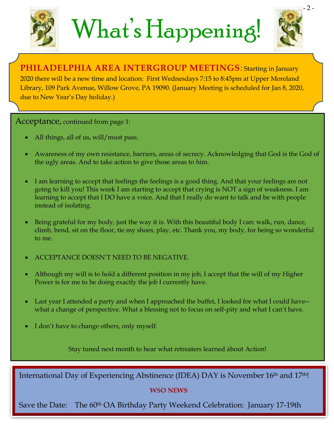

# What's Happening!



**PHILADELPHIA AREA INTERGROUP MEETINGS**: Starting in January 2020 there will be a new time and location: First Wednesdays 7:15 to 8:45pm at Upper Moreland Library, 109 Park Avenue, Willow Grove, PA 19090. (January Meeting is scheduled for Jan 8, 2020, due to New Year's Day holiday.)

**Acceptance, continued from page 1:**  $\overline{a}$  **International Day Experience (IDEA)** November 16, and 17th

- All things, all of us, will/must pass.
- Awareness of my own resistance, barriers, areas of secrecy. Acknowledging that God is the God of the ugly areas. And to take action to give those areas to him.
- I am learning to accept that feelings the feelings is a good thing. And that your feelings are not going to kill you! This week I am starting to accept that crying is NOT a sign of weakness. I am learning to accept that I DO have a voice. And that I really do want to talk and be with people instead of isolating.
- Being grateful for my body, just the way it is. With this beautiful body I can: walk, run, dance, climb, bend, sit on the floor, tie my shoes, play, etc. Thank you, my body, for being so wonderful to me.
- ACCEPTANCE DOESN'T NEED TO BE NEGATIVE.
- Although my will is to hold a different position in my job, I accept that the will of my Higher Power is for me to be doing exactly the job I currently have.
- Last year I attended a party and when I approached the buffet, I looked for what I could have- what a change of perspective. What a blessing not to focus on self-pity and what I can't have.
- I don't have to change others, only myself.

Stay tuned next month to hear what retreaters learned about Action!

International Day of Experiencing Abstinence (IDEA) DAY is November 16<sup>th</sup> and 17<sup>th</sup>!

#### **WSO NEWS**

Save the Date: The 60<sup>th</sup> OA Birthday Party Weekend Celebration: January 17-19th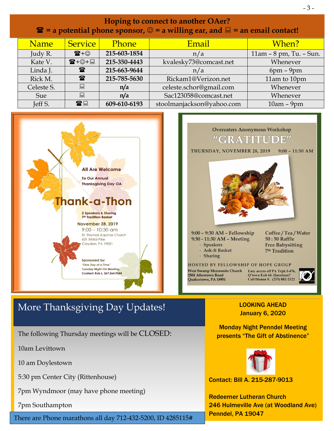| <b>Hoping to connect to another OAer?</b><br>$\mathbf{\hat{z}}$ = a potential phone sponsor, $\odot$ = a willing ear, and $\mathbf{\Xi}$ = an email contact! |                                                                                                                                                                                                                                                                                                                   |                      |                                                                                                                                                    |                                                                                                                                                           |                         |
|--------------------------------------------------------------------------------------------------------------------------------------------------------------|-------------------------------------------------------------------------------------------------------------------------------------------------------------------------------------------------------------------------------------------------------------------------------------------------------------------|----------------------|----------------------------------------------------------------------------------------------------------------------------------------------------|-----------------------------------------------------------------------------------------------------------------------------------------------------------|-------------------------|
|                                                                                                                                                              | Name                                                                                                                                                                                                                                                                                                              | <b>Service</b>       | Phone                                                                                                                                              | Email                                                                                                                                                     | When?                   |
|                                                                                                                                                              | Judy R.                                                                                                                                                                                                                                                                                                           | $\mathbf{E} + \odot$ | 215-603-1854                                                                                                                                       | n/a                                                                                                                                                       | 11am - 8 pm, Tu. - Sun. |
|                                                                                                                                                              | Kate V.                                                                                                                                                                                                                                                                                                           | ☎+☺+圓                | 215-350-4443                                                                                                                                       | kvalesky73@comcast.net                                                                                                                                    | Whenever                |
|                                                                                                                                                              | Linda J.                                                                                                                                                                                                                                                                                                          | $\mathbf{r}$         | 215-663-9644                                                                                                                                       | n/a                                                                                                                                                       | $6pm - 9pm$             |
|                                                                                                                                                              | Rick M.                                                                                                                                                                                                                                                                                                           | 雷                    | 215-785-5630                                                                                                                                       | Rickam1@Verizon.net                                                                                                                                       | 11am to 10pm            |
|                                                                                                                                                              | Celeste S.                                                                                                                                                                                                                                                                                                        | 晨                    | n/a                                                                                                                                                | celeste.schor@gmail.com                                                                                                                                   | Whenever                |
|                                                                                                                                                              | Sue                                                                                                                                                                                                                                                                                                               | 鳳                    | n/a                                                                                                                                                | Sac123058@comcast.net                                                                                                                                     | Whenever                |
|                                                                                                                                                              | Jeff S.                                                                                                                                                                                                                                                                                                           | 雷口                   | 609-610-6193                                                                                                                                       | stoolmanjackson@yahoo.com                                                                                                                                 | $10am - 9pm$            |
|                                                                                                                                                              | <b>All Are Welcome</b><br><b>To Our Annual</b><br><b>Thanksgiving Day OA</b><br>Thank-a-Thon<br><b>2 Speakers &amp; Sharing</b><br><b>7<sup>th</sup> Tradition Basket</b><br><b>November 28, 2019</b><br>$9:00 - 10:30$ am<br>St. Thomas Aquinas Church<br>601 Bristol Pike<br>Croydon, PA 19021<br>Sponsored by: |                      | "GRATITUI<br>THURSDAY, NOVEMBER 28, 2019<br>9:00 - 9:30 AM - Fellowship<br>9:30 - 11:30 AM - Meeting<br>- Speakers<br>- Ask-It Basket<br>- Sharing | <b>Overeaters Anonymous Workshop</b><br>$9:00 - 11:30$ AM<br>Coffee / Tea / Water<br>50:50 Raffle<br><b>Free Babysitting</b><br>7 <sup>th</sup> Tradition |                         |

# More Thanksgiving Day Updates!

**Tuesday Night OA Meeting** 

Contact: Rob L. 267.264.9544

The following Thursday meetings will be CLOSED:

10am Levittown

10 am Doylestown

5:30 pm Center City (Rittenhouse)

7pm Wyndmoor (may have phone meeting)

7pm Southampton

Penndel, PA 19047 There are Phone marathons all day 712-432-5200, ID 4285115#

#### LOOKING AHEAD January 6, 2020

Q'town Exit 44. Questions?<br>Call Dianne F. (215) 882-2122

West Swamp Mennonite Church Easy access off PA Trpk I-476,

2501 Allentown Road<br>Quakertown, PA 18951

- 3 -

Monday Night Penndel Meeting presents "The Gift of Abstinence"



Contact: Bill A. 215-287-9013

Redeemer Lutheran Church 246 Hulmeville Ave (at Woodland Ave)